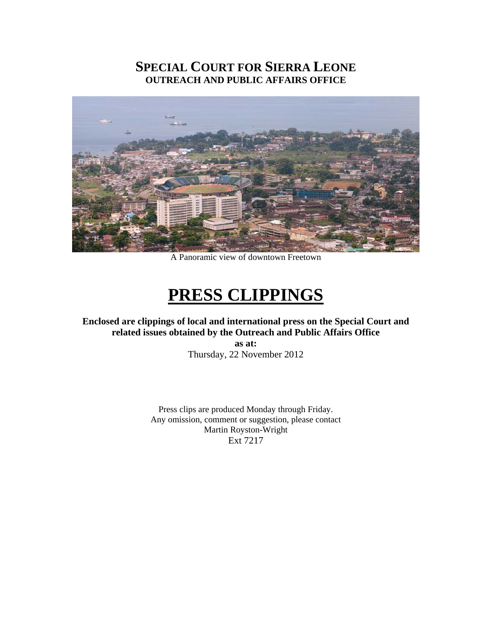# **SPECIAL COURT FOR SIERRA LEONE OUTREACH AND PUBLIC AFFAIRS OFFICE**



A Panoramic view of downtown Freetown

# **PRESS CLIPPINGS**

# **Enclosed are clippings of local and international press on the Special Court and related issues obtained by the Outreach and Public Affairs Office**

**as at:**  Thursday, 22 November 2012

Press clips are produced Monday through Friday. Any omission, comment or suggestion, please contact Martin Royston-Wright Ext 7217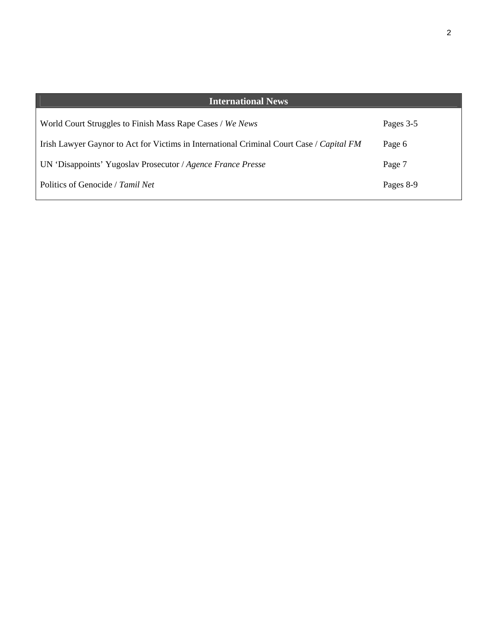| <b>International News</b>                                                                |           |
|------------------------------------------------------------------------------------------|-----------|
| World Court Struggles to Finish Mass Rape Cases / We News                                | Pages 3-5 |
| Irish Lawyer Gaynor to Act for Victims in International Criminal Court Case / Capital FM | Page 6    |
| UN 'Disappoints' Yugoslav Prosecutor / Agence France Presse                              | Page 7    |
| Politics of Genocide / Tamil Net                                                         | Pages 8-9 |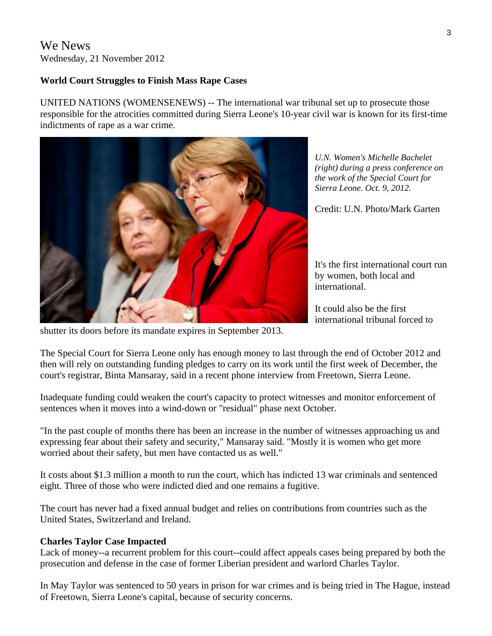# We News Wednesday, 21 November 2012

## **World Court Struggles to Finish Mass Rape Cases**

UNITED NATIONS (WOMENSENEWS) -- The international war tribunal set up to prosecute those responsible for the atrocities committed during Sierra Leone's 10-year civil war is known for its first-time indictments of rape as a war crime.



*U.N. Women's Michelle Bachelet (right) during a press conference on the work of the Special Court for Sierra Leone. Oct. 9, 2012.* 

Credit: U.N. Photo/Mark Garten

It's the first international court run by women, both local and international.

It could also be the first international tribunal forced to

shutter its doors before its mandate expires in September 2013.

The Special Court for Sierra Leone only has enough money to last through the end of October 2012 and then will rely on outstanding funding pledges to carry on its work until the first week of December, the court's registrar, Binta Mansaray, said in a recent phone interview from Freetown, Sierra Leone.

Inadequate funding could weaken the court's capacity to protect witnesses and monitor enforcement of sentences when it moves into a wind-down or "residual" phase next October.

"In the past couple of months there has been an increase in the number of witnesses approaching us and expressing fear about their safety and security," Mansaray said. "Mostly it is women who get more worried about their safety, but men have contacted us as well."

It costs about \$1.3 million a month to run the court, which has indicted 13 war criminals and sentenced eight. Three of those who were indicted died and one remains a fugitive.

The court has never had a fixed annual budget and relies on contributions from countries such as the United States, Switzerland and Ireland.

#### **Charles Taylor Case Impacted**

Lack of money--a recurrent problem for this court--could affect appeals cases being prepared by both the prosecution and defense in the case of former Liberian president and warlord Charles Taylor.

In May Taylor was sentenced to 50 years in prison for war crimes and is being tried in The Hague, instead of Freetown, Sierra Leone's capital, because of security concerns.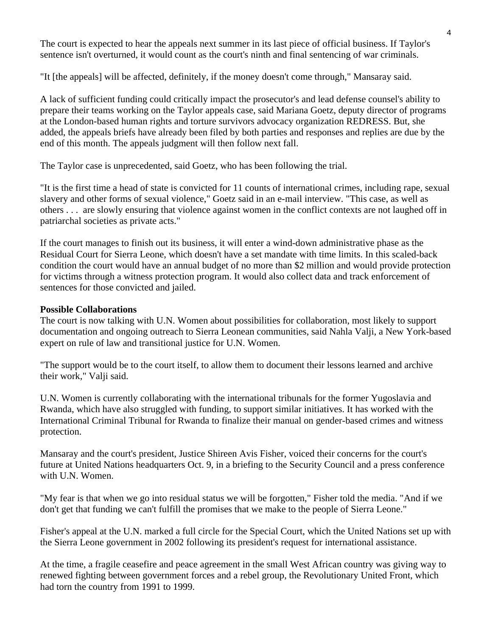The court is expected to hear the appeals next summer in its last piece of official business. If Taylor's sentence isn't overturned, it would count as the court's ninth and final sentencing of war criminals.

"It [the appeals] will be affected, definitely, if the money doesn't come through," Mansaray said.

A lack of sufficient funding could critically impact the prosecutor's and lead defense counsel's ability to prepare their teams working on the Taylor appeals case, said Mariana Goetz, deputy director of programs at the London-based human rights and torture survivors advocacy organization REDRESS. But, she added, the appeals briefs have already been filed by both parties and responses and replies are due by the end of this month. The appeals judgment will then follow next fall.

The Taylor case is unprecedented, said Goetz, who has been following the trial.

"It is the first time a head of state is convicted for 11 counts of international crimes, including rape, sexual slavery and other forms of sexual violence," Goetz said in an e-mail interview. "This case, as well as others . . . are slowly ensuring that violence against women in the conflict contexts are not laughed off in patriarchal societies as private acts."

If the court manages to finish out its business, it will enter a wind-down administrative phase as the Residual Court for Sierra Leone, which doesn't have a set mandate with time limits. In this scaled-back condition the court would have an annual budget of no more than \$2 million and would provide protection for victims through a witness protection program. It would also collect data and track enforcement of sentences for those convicted and jailed.

#### **Possible Collaborations**

The court is now talking with U.N. Women about possibilities for collaboration, most likely to support documentation and ongoing outreach to Sierra Leonean communities, said Nahla Valji, a New York-based expert on rule of law and transitional justice for U.N. Women.

"The support would be to the court itself, to allow them to document their lessons learned and archive their work," Valji said.

U.N. Women is currently collaborating with the international tribunals for the former Yugoslavia and Rwanda, which have also struggled with funding, to support similar initiatives. It has worked with the International Criminal Tribunal for Rwanda to finalize their manual on gender-based crimes and witness protection.

Mansaray and the court's president, Justice Shireen Avis Fisher, voiced their concerns for the court's future at United Nations headquarters Oct. 9, in a briefing to the Security Council and a press conference with U.N. Women.

"My fear is that when we go into residual status we will be forgotten," Fisher told the media. "And if we don't get that funding we can't fulfill the promises that we make to the people of Sierra Leone."

Fisher's appeal at the U.N. marked a full circle for the Special Court, which the United Nations set up with the Sierra Leone government in 2002 following its president's request for international assistance.

At the time, a fragile ceasefire and peace agreement in the small West African country was giving way to renewed fighting between government forces and a rebel group, the Revolutionary United Front, which had torn the country from 1991 to 1999.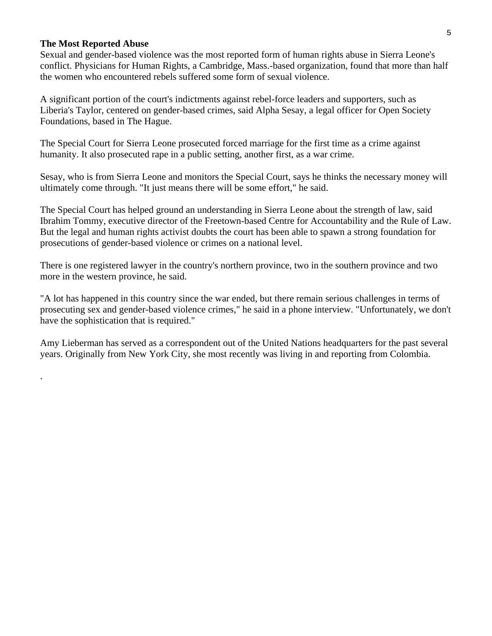#### **The Most Reported Abuse**

.

Sexual and gender-based violence was the most reported form of human rights abuse in Sierra Leone's conflict. Physicians for Human Rights, a Cambridge, Mass.-based organization, found that more than half the women who encountered rebels suffered some form of sexual violence.

A significant portion of the court's indictments against rebel-force leaders and supporters, such as Liberia's Taylor, centered on gender-based crimes, said Alpha Sesay, a legal officer for Open Society Foundations, based in The Hague.

The Special Court for Sierra Leone prosecuted forced marriage for the first time as a crime against humanity. It also prosecuted rape in a public setting, another first, as a war crime.

Sesay, who is from Sierra Leone and monitors the Special Court, says he thinks the necessary money will ultimately come through. "It just means there will be some effort," he said.

The Special Court has helped ground an understanding in Sierra Leone about the strength of law, said Ibrahim Tommy, executive director of the Freetown-based Centre for Accountability and the Rule of Law. But the legal and human rights activist doubts the court has been able to spawn a strong foundation for prosecutions of gender-based violence or crimes on a national level.

There is one registered lawyer in the country's northern province, two in the southern province and two more in the western province, he said.

"A lot has happened in this country since the war ended, but there remain serious challenges in terms of prosecuting sex and gender-based violence crimes," he said in a phone interview. "Unfortunately, we don't have the sophistication that is required."

Amy Lieberman has served as a correspondent out of the United Nations headquarters for the past several years. Originally from New York City, she most recently was living in and reporting from Colombia.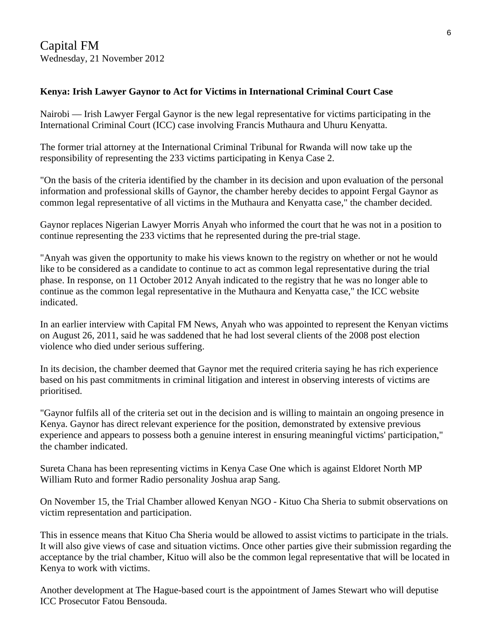# **Kenya: Irish Lawyer Gaynor to Act for Victims in International Criminal Court Case**

Nairobi — Irish Lawyer Fergal Gaynor is the new legal representative for victims participating in the International Criminal Court (ICC) case involving Francis Muthaura and Uhuru Kenyatta.

The former trial attorney at the International Criminal Tribunal for Rwanda will now take up the responsibility of representing the 233 victims participating in Kenya Case 2.

"On the basis of the criteria identified by the chamber in its decision and upon evaluation of the personal information and professional skills of Gaynor, the chamber hereby decides to appoint Fergal Gaynor as common legal representative of all victims in the Muthaura and Kenyatta case," the chamber decided.

Gaynor replaces Nigerian Lawyer Morris Anyah who informed the court that he was not in a position to continue representing the 233 victims that he represented during the pre-trial stage.

"Anyah was given the opportunity to make his views known to the registry on whether or not he would like to be considered as a candidate to continue to act as common legal representative during the trial phase. In response, on 11 October 2012 Anyah indicated to the registry that he was no longer able to continue as the common legal representative in the Muthaura and Kenyatta case," the ICC website indicated.

In an earlier interview with Capital FM News, Anyah who was appointed to represent the Kenyan victims on August 26, 2011, said he was saddened that he had lost several clients of the 2008 post election violence who died under serious suffering.

In its decision, the chamber deemed that Gaynor met the required criteria saying he has rich experience based on his past commitments in criminal litigation and interest in observing interests of victims are prioritised.

"Gaynor fulfils all of the criteria set out in the decision and is willing to maintain an ongoing presence in Kenya. Gaynor has direct relevant experience for the position, demonstrated by extensive previous experience and appears to possess both a genuine interest in ensuring meaningful victims' participation," the chamber indicated.

Sureta Chana has been representing victims in Kenya Case One which is against Eldoret North MP William Ruto and former Radio personality Joshua arap Sang.

On November 15, the Trial Chamber allowed Kenyan NGO - Kituo Cha Sheria to submit observations on victim representation and participation.

This in essence means that Kituo Cha Sheria would be allowed to assist victims to participate in the trials. It will also give views of case and situation victims. Once other parties give their submission regarding the acceptance by the trial chamber, Kituo will also be the common legal representative that will be located in Kenya to work with victims.

Another development at The Hague-based court is the appointment of James Stewart who will deputise ICC Prosecutor Fatou Bensouda.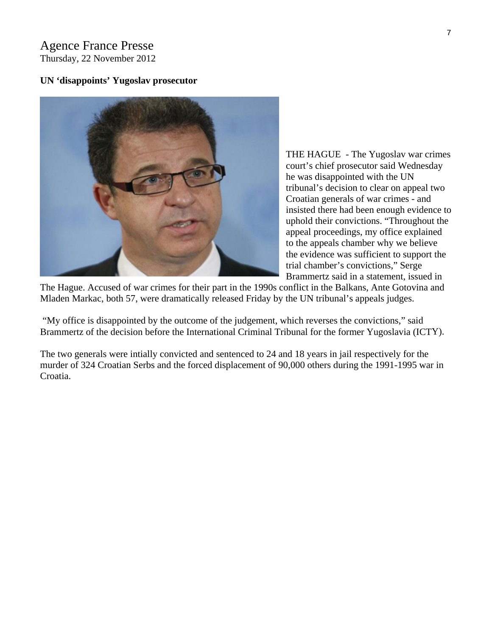## Agence France Presse Thursday, 22 November 2012

#### **UN 'disappoints' Yugoslav prosecutor**



THE HAGUE - The Yugoslav war c rimes court's chief prosecutor said Wednes day he was disappointed with the UN tribunal's decision to clear on appeal two Croatian generals of war crimes - and insisted there had been enough evidence to uphold their convictions. "Throughout the appeal proceedings, my office expl ained to the appeals chamber why we believe the evidence was sufficient to support t he trial chamber's convictions," Serge Brammertz said in a statement, issued in

The Hague. Accused of war crimes for their part in the 1990s conflict in the Balkans, Ante Gotovina and Mladen Markac, both 57, were dramatically released Friday by the UN tribunal's appeals judges.

"My office is disappointed by the outcome of the judgement, which reverses the convictions," said Brammertz of the decision before the International Criminal Tribunal for the former Yugoslavia (ICTY).

The two generals were intially convicted and sentenced to 24 and 18 years in jail respectively for the murder of 324 Croatian Serbs and the forced displacement of 90,000 others during the 1991-1995 war in Croatia.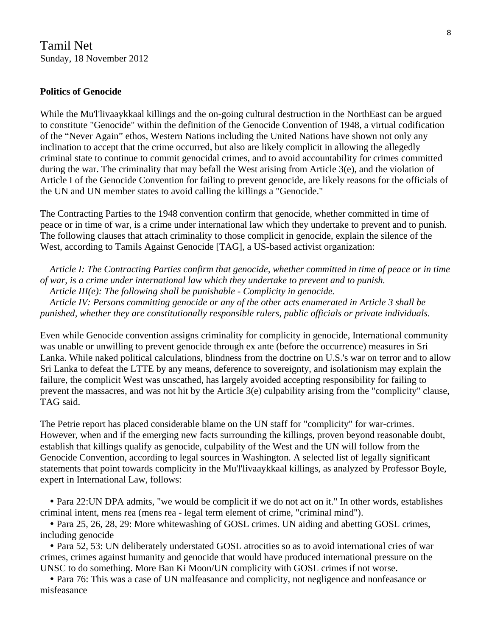## **Politics of Genocide**

While the Mu'l'livaaykkaal killings and the on-going cultural destruction in the NorthEast can be argued to constitute "Genocide" within the definition of the Genocide Convention of 1948, a virtual codification of the "Never Again" ethos, Western Nations including the United Nations have shown not only any inclination to accept that the crime occurred, but also are likely complicit in allowing the allegedly criminal state to continue to commit genocidal crimes, and to avoid accountability for crimes committed during the war. The criminality that may befall the West arising from Article 3(e), and the violation of Article I of the Genocide Convention for failing to prevent genocide, are likely reasons for the officials of the UN and UN member states to avoid calling the killings a "Genocide."

The Contracting Parties to the 1948 convention confirm that genocide, whether committed in time of peace or in time of war, is a crime under international law which they undertake to prevent and to punish. The following clauses that attach criminality to those complicit in genocide, explain the silence of the West, according to Tamils Against Genocide [TAG], a US-based activist organization:

 *Article I: The Contracting Parties confirm that genocide, whether committed in time of peace or in time of war, is a crime under international law which they undertake to prevent and to punish. Article III(e): The following shall be punishable - Complicity in genocide. Article IV: Persons committing genocide or any of the other acts enumerated in Article 3 shall be punished, whether they are constitutionally responsible rulers, public officials or private individuals.* 

Even while Genocide convention assigns criminality for complicity in genocide, International community was unable or unwilling to prevent genocide through ex ante (before the occurrence) measures in Sri Lanka. While naked political calculations, blindness from the doctrine on U.S.'s war on terror and to allow Sri Lanka to defeat the LTTE by any means, deference to sovereignty, and isolationism may explain the failure, the complicit West was unscathed, has largely avoided accepting responsibility for failing to prevent the massacres, and was not hit by the Article 3(e) culpability arising from the "complicity" clause, TAG said.

The Petrie report has placed considerable blame on the UN staff for "complicity" for war-crimes. However, when and if the emerging new facts surrounding the killings, proven beyond reasonable doubt, establish that killings qualify as genocide, culpability of the West and the UN will follow from the Genocide Convention, according to legal sources in Washington. A selected list of legally significant statements that point towards complicity in the Mu'l'livaaykkaal killings, as analyzed by Professor Boyle, expert in International Law, follows:

• Para 22: UN DPA admits, "we would be complicit if we do not act on it." In other words, establishes criminal intent, mens rea (mens rea - legal term element of crime, "criminal mind").

• Para 25, 26, 28, 29: More whitewashing of GOSL crimes. UN aiding and abetting GOSL crimes, including genocide

 y Para 52, 53: UN deliberately understated GOSL atrocities so as to avoid international cries of war crimes, crimes against humanity and genocide that would have produced international pressure on the UNSC to do something. More Ban Ki Moon/UN complicity with GOSL crimes if not worse.

• Para 76: This was a case of UN malfeasance and complicity, not negligence and nonfeasance or misfeasance